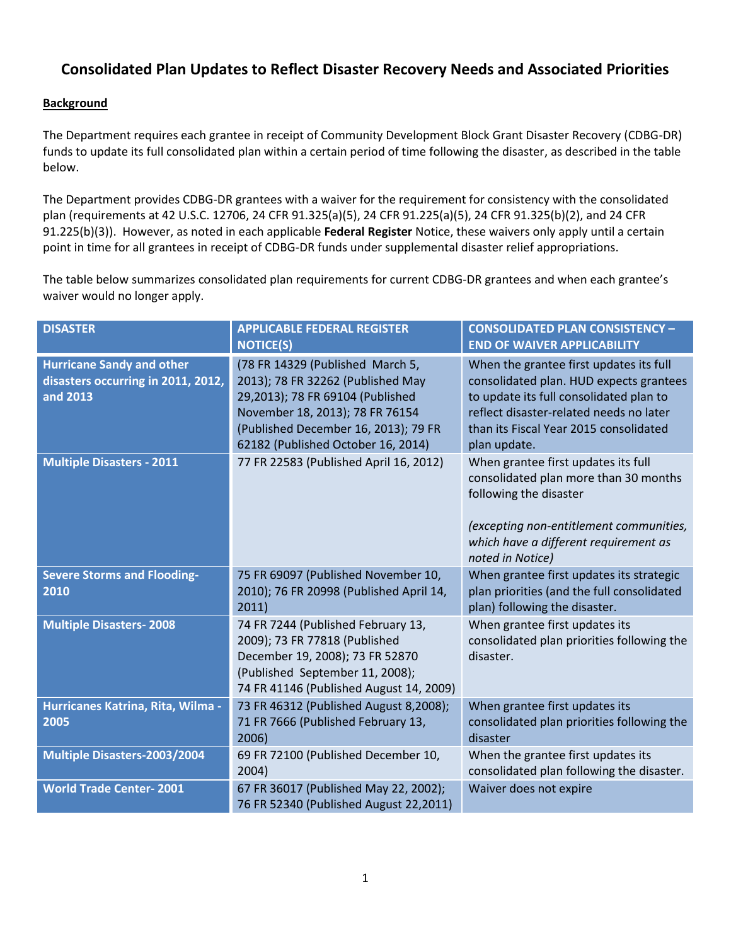# **Consolidated Plan Updates to Reflect Disaster Recovery Needs and Associated Priorities**

# **Background**

The Department requires each grantee in receipt of Community Development Block Grant Disaster Recovery (CDBG-DR) funds to update its full consolidated plan within a certain period of time following the disaster, as described in the table below.

The Department provides CDBG-DR grantees with a waiver for the requirement for consistency with the consolidated plan (requirements at 42 U.S.C. 12706, 24 CFR 91.325(a)(5), 24 CFR 91.225(a)(5), 24 CFR 91.325(b)(2), and 24 CFR 91.225(b)(3)). However, as noted in each applicable **Federal Register** Notice, these waivers only apply until a certain point in time for all grantees in receipt of CDBG-DR funds under supplemental disaster relief appropriations.

The table below summarizes consolidated plan requirements for current CDBG-DR grantees and when each grantee's waiver would no longer apply.

| <b>DISASTER</b>                                                                    | <b>APPLICABLE FEDERAL REGISTER</b><br><b>NOTICE(S)</b>                                                                                                                                                                     | <b>CONSOLIDATED PLAN CONSISTENCY -</b><br><b>END OF WAIVER APPLICABILITY</b>                                                                                                                                                       |
|------------------------------------------------------------------------------------|----------------------------------------------------------------------------------------------------------------------------------------------------------------------------------------------------------------------------|------------------------------------------------------------------------------------------------------------------------------------------------------------------------------------------------------------------------------------|
| <b>Hurricane Sandy and other</b><br>disasters occurring in 2011, 2012,<br>and 2013 | (78 FR 14329 (Published March 5,<br>2013); 78 FR 32262 (Published May<br>29,2013); 78 FR 69104 (Published<br>November 18, 2013); 78 FR 76154<br>(Published December 16, 2013); 79 FR<br>62182 (Published October 16, 2014) | When the grantee first updates its full<br>consolidated plan. HUD expects grantees<br>to update its full consolidated plan to<br>reflect disaster-related needs no later<br>than its Fiscal Year 2015 consolidated<br>plan update. |
| <b>Multiple Disasters - 2011</b>                                                   | 77 FR 22583 (Published April 16, 2012)                                                                                                                                                                                     | When grantee first updates its full<br>consolidated plan more than 30 months<br>following the disaster<br>(excepting non-entitlement communities,<br>which have a different requirement as<br>noted in Notice)                     |
| <b>Severe Storms and Flooding-</b><br>2010                                         | 75 FR 69097 (Published November 10,<br>2010); 76 FR 20998 (Published April 14,<br>2011)                                                                                                                                    | When grantee first updates its strategic<br>plan priorities (and the full consolidated<br>plan) following the disaster.                                                                                                            |
| <b>Multiple Disasters-2008</b>                                                     | 74 FR 7244 (Published February 13,<br>2009); 73 FR 77818 (Published<br>December 19, 2008); 73 FR 52870<br>(Published September 11, 2008);<br>74 FR 41146 (Published August 14, 2009)                                       | When grantee first updates its<br>consolidated plan priorities following the<br>disaster.                                                                                                                                          |
| Hurricanes Katrina, Rita, Wilma -<br>2005                                          | 73 FR 46312 (Published August 8,2008);<br>71 FR 7666 (Published February 13,<br>2006)                                                                                                                                      | When grantee first updates its<br>consolidated plan priorities following the<br>disaster                                                                                                                                           |
| <b>Multiple Disasters-2003/2004</b>                                                | 69 FR 72100 (Published December 10,<br>2004)                                                                                                                                                                               | When the grantee first updates its<br>consolidated plan following the disaster.                                                                                                                                                    |
| <b>World Trade Center-2001</b>                                                     | 67 FR 36017 (Published May 22, 2002);<br>76 FR 52340 (Published August 22,2011)                                                                                                                                            | Waiver does not expire                                                                                                                                                                                                             |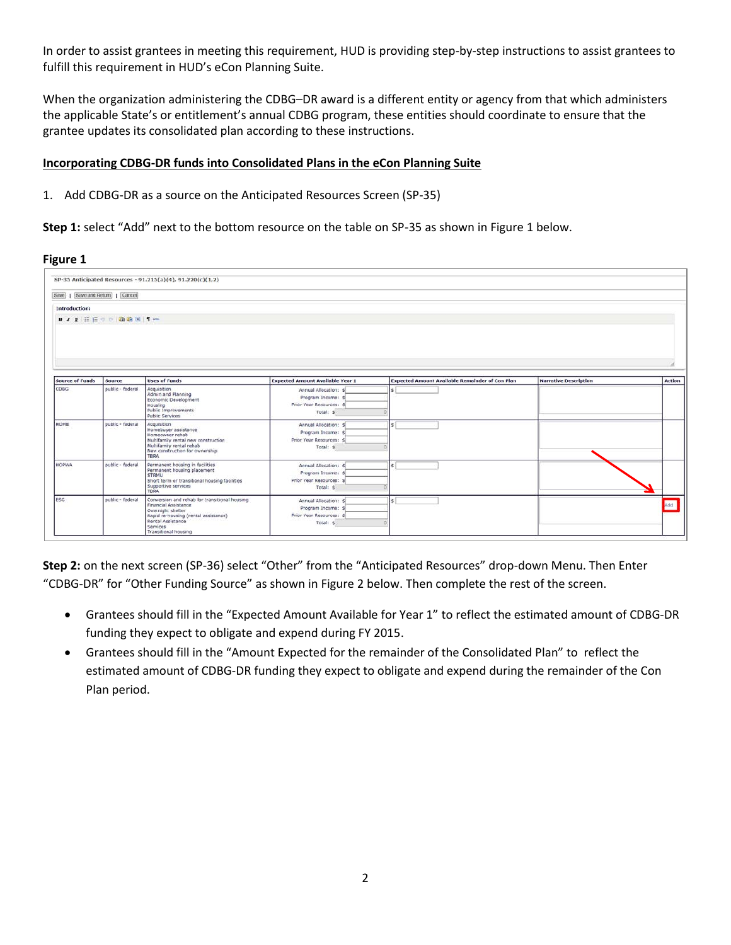In order to assist grantees in meeting this requirement, HUD is providing step-by-step instructions to assist grantees to fulfill this requirement in HUD's eCon Planning Suite.

When the organization administering the CDBG–DR award is a different entity or agency from that which administers the applicable State's or entitlement's annual CDBG program, these entities should coordinate to ensure that the grantee updates its consolidated plan according to these instructions.

## **Incorporating CDBG-DR funds into Consolidated Plans in the eCon Planning Suite**

### 1. Add CDBG-DR as a source on the Anticipated Resources Screen (SP-35)

**Step 1:** select "Add" next to the bottom resource on the table on SP-35 as shown in Figure 1 below.

#### **Figure 1**

| Save     Save and Return     Cancel |                           | SP-35 Anticipated Resources - 91.215(a)(4), 91.220(c)(1,2)                                                                                                                                         |                                                                                      |                                                        |                              |            |
|-------------------------------------|---------------------------|----------------------------------------------------------------------------------------------------------------------------------------------------------------------------------------------------|--------------------------------------------------------------------------------------|--------------------------------------------------------|------------------------------|------------|
| Introduction:                       |                           |                                                                                                                                                                                                    |                                                                                      |                                                        |                              |            |
|                                     | ■ ノ リ 注 注 ゥ ゃ 強 論 河   ¶ ー |                                                                                                                                                                                                    |                                                                                      |                                                        |                              |            |
| <b>Source of Funds</b>              | Source                    | <b>Uses of Funds</b>                                                                                                                                                                               | <b>Expected Amount Available Year 1</b>                                              | <b>Expected Amount Available Remainder of Con Plan</b> | <b>Narrative Description</b> | Action     |
| <b>CDBG</b>                         | public - federal          | Acquisition<br>Admin and Planning<br>Economic Development<br>Housing<br><b>Public Improvements</b><br><b>Public Services</b>                                                                       | Annual Allocation: \$<br>Program Income: \$<br>Prior Year Resources: S<br>Total: \$  |                                                        |                              |            |
| HOME                                | public - federal          | Acquisition<br>Homebuyer assistance<br>Homeowner rehab<br>Multifamily rental new construction<br>Multifamily rental rehab<br>New construction for ownership<br><b>TBRA</b>                         | Annual Allocation: \$<br>Program Income: \$<br>Prior Year Resources: \$<br>Total: \$ |                                                        |                              |            |
| <b>HOPWA</b>                        | public - federal          | Permanent housing in facilities<br>Permanent housing placement<br><b>STRMU</b><br>Short term or transitional housing facilities<br>Supportive services<br>TBRA                                     | Annual Allocation: 5<br>Program Income: 9<br>Prior Year Resources: S<br>Total: \$    |                                                        |                              |            |
| <b>ESG</b>                          | public - federal          | Conversion and rehab for transitional housing<br>Financial Assistance<br>Overnight shelter<br>Rapid re-housing (rental assistance)<br>Rental Assistance<br>Services<br><b>Transitional housing</b> | Annual Allocation: 5<br>Program Income: \$<br>Prior Year Resources: S<br>Total: \$   |                                                        |                              | <b>Inb</b> |

**Step 2:** on the next screen (SP-36) select "Other" from the "Anticipated Resources" drop-down Menu. Then Enter "CDBG-DR" for "Other Funding Source" as shown in Figure 2 below. Then complete the rest of the screen.

- Grantees should fill in the "Expected Amount Available for Year 1" to reflect the estimated amount of CDBG-DR funding they expect to obligate and expend during FY 2015.
- Grantees should fill in the "Amount Expected for the remainder of the Consolidated Plan" to reflect the estimated amount of CDBG-DR funding they expect to obligate and expend during the remainder of the Con Plan period.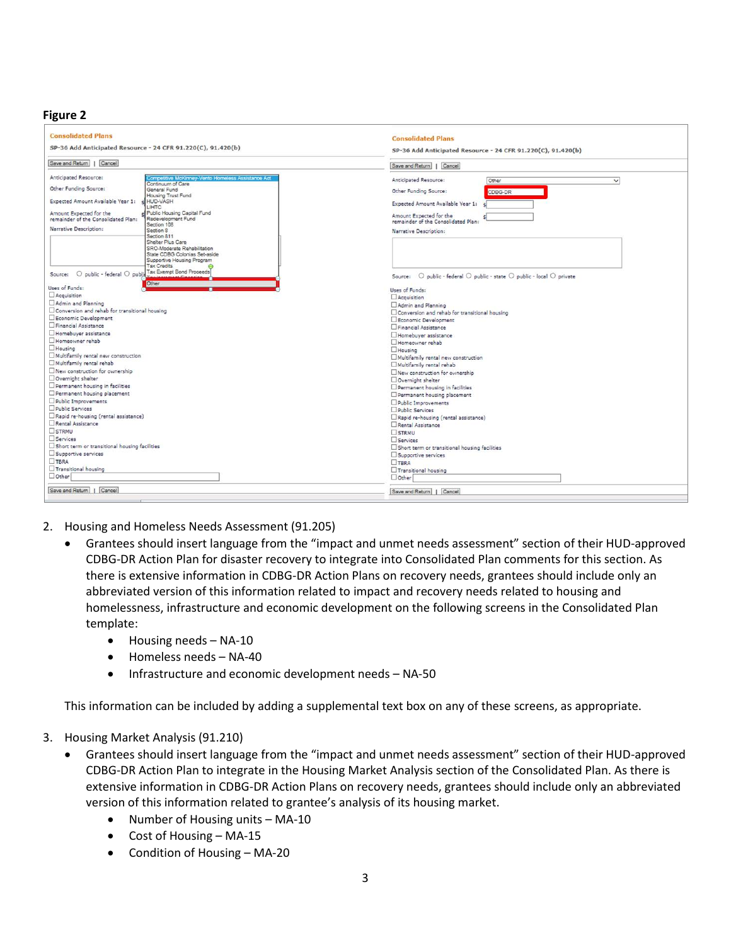### **Figure 2**

| <b>Consolidated Plans</b>                                                                                                                                             | <b>Consolidated Plans</b>                                                         |
|-----------------------------------------------------------------------------------------------------------------------------------------------------------------------|-----------------------------------------------------------------------------------|
| SP-36 Add Anticipated Resource - 24 CFR 91.220(C), 91.420(b)                                                                                                          | SP-36 Add Anticipated Resource - 24 CFR 91.220(C), 91.420(b)                      |
| Save and Return   Cancel                                                                                                                                              | Save and Return     Cancel                                                        |
| Anticipated Resource:<br>Competitive McKinney-Vento Homeless Assistance Act<br>Continuum of Care<br>Other Funding Source:<br>General Fund                             | Anticipated Resource:<br>Other<br>$\check{~}$<br>Other Funding Source:<br>CDBG-DR |
| Housing Trust Fund<br>Expected Amount Available Year 1:<br><b>SHUD-VASH</b><br><b>LIHTC</b>                                                                           | Expected Amount Available Year 1:                                                 |
| Amount Expected for the<br>Public Housing Capital Fund<br>Redevelopment Fund<br>remainder of the Consolidated Plan:<br>Section 108                                    | Amount Expected for the<br>remainder of the Consolidated Plan:                    |
| Narrative Description:<br>Section 8<br>Section 811<br>Shelter Plus Care<br>SRO-Moderate Rehabilitation<br>State CDBG Colonias Set-aside<br>Supportive Housing Program | Narrative Description:                                                            |
| <b>Tax Credits</b><br>O public - federal O public Tax Exempt Bond Proceeds<br>Source:<br>Other                                                                        | Source: O public - federal O public - state O public - local O private            |
| Uses of Funds:                                                                                                                                                        | Uses of Funds:                                                                    |
| Acquisition                                                                                                                                                           | Acquisition                                                                       |
| Admin and Planning                                                                                                                                                    | Admin and Planning                                                                |
| Conversion and rehab for transitional housing                                                                                                                         | □ Conversion and rehab for transitional housing                                   |
| Economic Development                                                                                                                                                  | Economic Development                                                              |
| Financial Assistance                                                                                                                                                  | Financial Assistance                                                              |
| Homebuver assistance                                                                                                                                                  | Homebuver assistance                                                              |
| Homeowner rehab                                                                                                                                                       | Homeowner rehab                                                                   |
| $\Box$ Housing                                                                                                                                                        | Housing                                                                           |
| Multifamily rental new construction                                                                                                                                   | Multifamily rental new construction                                               |
| Multifamily rental rehab                                                                                                                                              | Multifamily rental rehab                                                          |
| New construction for ownership                                                                                                                                        | New construction for ownership                                                    |
| Overnight shelter                                                                                                                                                     | Overnight shelter                                                                 |
| Permanent housing in facilities                                                                                                                                       | Permanent housing in facilities                                                   |
| Permanent housing placement                                                                                                                                           | Permanent housing placement                                                       |
| Public Improvements                                                                                                                                                   | Public Improvements                                                               |
| Public Services                                                                                                                                                       | Public Services                                                                   |
| Rapid re-housing (rental assistance)                                                                                                                                  | Rapid re-housing (rental assistance)                                              |
| Rental Assistance                                                                                                                                                     | Rental Assistance                                                                 |
| STRMU                                                                                                                                                                 | STRMU                                                                             |
| Services                                                                                                                                                              | Services                                                                          |
| Short term or transitional housing facilities                                                                                                                         | Short term or transitional housing facilities                                     |
| Supportive services                                                                                                                                                   | Supportive services                                                               |
| TBRA                                                                                                                                                                  | $T$ TBRA                                                                          |
| Transitional housing                                                                                                                                                  | Transitional housing                                                              |
| $\Box$ Other                                                                                                                                                          | $\Box$ Other                                                                      |
| Save and Return     Cancel                                                                                                                                            | Save and Return     Cancel                                                        |
|                                                                                                                                                                       |                                                                                   |

- 2. Housing and Homeless Needs Assessment (91.205)
	- Grantees should insert language from the "impact and unmet needs assessment" section of their HUD-approved CDBG-DR Action Plan for disaster recovery to integrate into Consolidated Plan comments for this section. As there is extensive information in CDBG-DR Action Plans on recovery needs, grantees should include only an abbreviated version of this information related to impact and recovery needs related to housing and homelessness, infrastructure and economic development on the following screens in the Consolidated Plan template:
		- $\bullet$  Housing needs NA-10
		- Homeless needs NA-40
		- Infrastructure and economic development needs NA-50

This information can be included by adding a supplemental text box on any of these screens, as appropriate.

- 3. Housing Market Analysis (91.210)
	- Grantees should insert language from the "impact and unmet needs assessment" section of their HUD-approved CDBG-DR Action Plan to integrate in the Housing Market Analysis section of the Consolidated Plan. As there is extensive information in CDBG-DR Action Plans on recovery needs, grantees should include only an abbreviated version of this information related to grantee's analysis of its housing market.
		- Number of Housing units MA-10
		- Cost of Housing MA-15
		- Condition of Housing MA-20